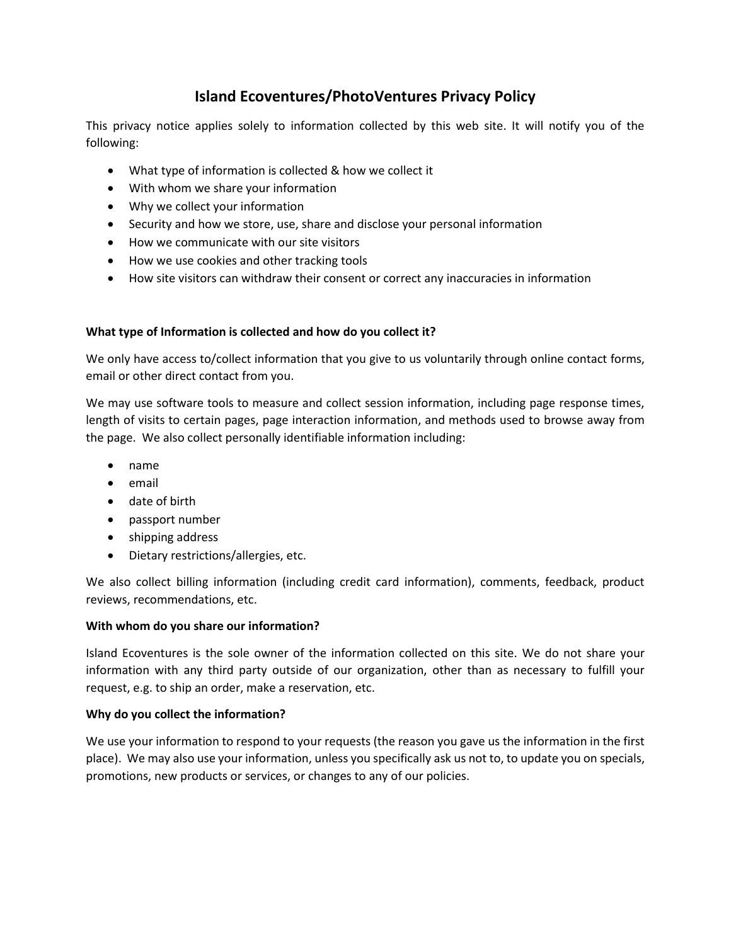# **Island Ecoventures/PhotoVentures Privacy Policy**

This privacy notice applies solely to information collected by this web site. It will notify you of the following:

- What type of information is collected & how we collect it
- With whom we share your information
- Why we collect your information
- Security and how we store, use, share and disclose your personal information
- How we communicate with our site visitors
- How we use cookies and other tracking tools
- How site visitors can withdraw their consent or correct any inaccuracies in information

# **What type of Information is collected and how do you collect it?**

We only have access to/collect information that you give to us voluntarily through online contact forms, email or other direct contact from you.

We may use software tools to measure and collect session information, including page response times, length of visits to certain pages, page interaction information, and methods used to browse away from the page. We also collect personally identifiable information including:

- name
- email
- date of birth
- passport number
- shipping address
- Dietary restrictions/allergies, etc.

We also collect billing information (including credit card information), comments, feedback, product reviews, recommendations, etc.

### **With whom do you share our information?**

Island Ecoventures is the sole owner of the information collected on this site. We do not share your information with any third party outside of our organization, other than as necessary to fulfill your request, e.g. to ship an order, make a reservation, etc.

### **Why do you collect the information?**

We use your information to respond to your requests (the reason you gave us the information in the first place). We may also use your information, unless you specifically ask us not to, to update you on specials, promotions, new products or services, or changes to any of our policies.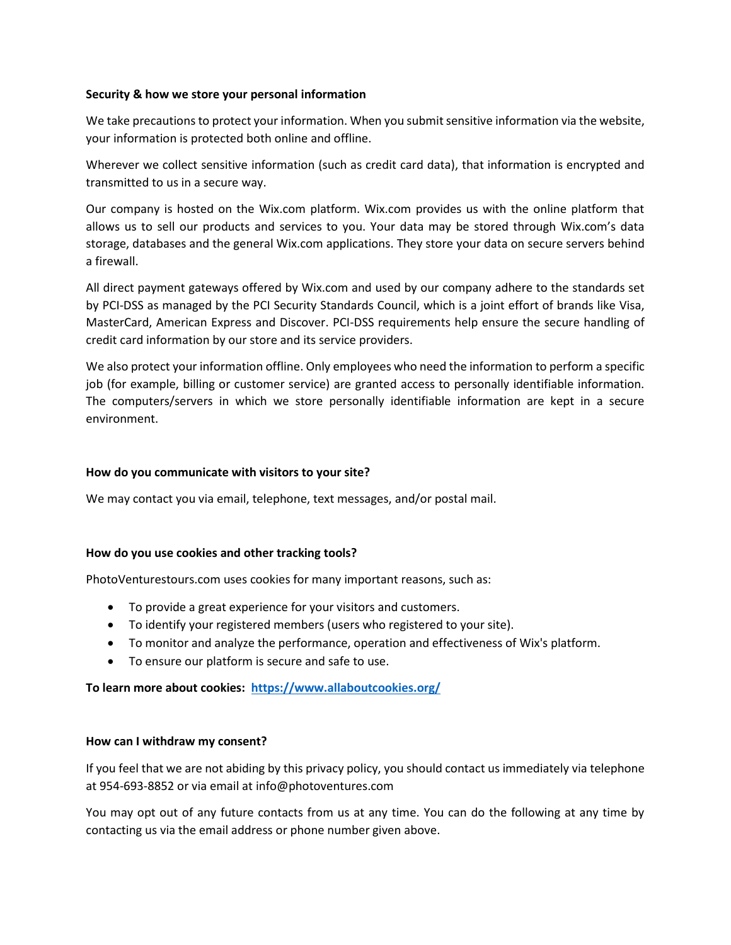#### **Security & how we store your personal information**

We take precautions to protect your information. When you submit sensitive information via the website, your information is protected both online and offline.

Wherever we collect sensitive information (such as credit card data), that information is encrypted and transmitted to us in a secure way.

Our company is hosted on the Wix.com platform. Wix.com provides us with the online platform that allows us to sell our products and services to you. Your data may be stored through Wix.com's data storage, databases and the general Wix.com applications. They store your data on secure servers behind a firewall.

All direct payment gateways offered by Wix.com and used by our company adhere to the standards set by PCI-DSS as managed by the PCI Security Standards Council, which is a joint effort of brands like Visa, MasterCard, American Express and Discover. PCI-DSS requirements help ensure the secure handling of credit card information by our store and its service providers.

We also protect your information offline. Only employees who need the information to perform a specific job (for example, billing or customer service) are granted access to personally identifiable information. The computers/servers in which we store personally identifiable information are kept in a secure environment.

#### **How do you communicate with visitors to your site?**

We may contact you via email, telephone, text messages, and/or postal mail.

#### **How do you use cookies and other tracking tools?**

PhotoVenturestours.com uses cookies for many important reasons, such as:

- To provide a great experience for your visitors and customers.
- To identify your registered members (users who registered to your site).
- To monitor and analyze the performance, operation and effectiveness of Wix's platform.
- To ensure our platform is secure and safe to use.

**To learn more about cookies: <https://www.allaboutcookies.org/>**

#### **How can I withdraw my consent?**

If you feel that we are not abiding by this privacy policy, you should contact us immediately via telephone at 954-693-8852 or via email at info@photoventures.com

You may opt out of any future contacts from us at any time. You can do the following at any time by contacting us via the email address or phone number given above.